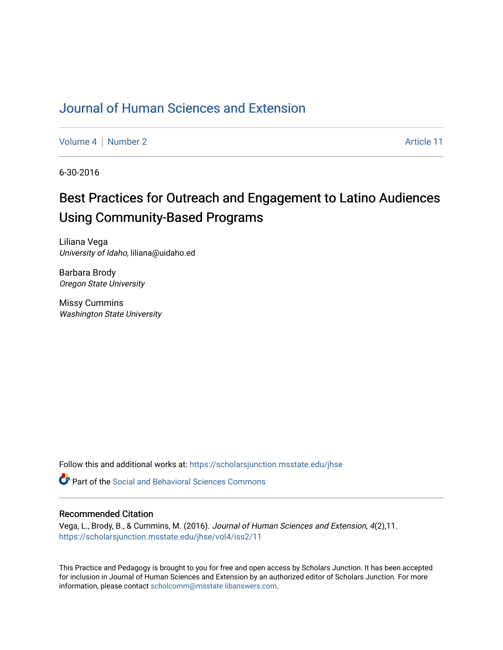# [Journal of Human Sciences and Extension](https://scholarsjunction.msstate.edu/jhse)

[Volume 4](https://scholarsjunction.msstate.edu/jhse/vol4) | [Number 2](https://scholarsjunction.msstate.edu/jhse/vol4/iss2) Article 11

6-30-2016

# Best Practices for Outreach and Engagement to Latino Audiences Using Community-Based Programs

Liliana Vega University of Idaho, liliana@uidaho.ed

Barbara Brody Oregon State University

Missy Cummins Washington State University

Follow this and additional works at: [https://scholarsjunction.msstate.edu/jhse](https://scholarsjunction.msstate.edu/jhse?utm_source=scholarsjunction.msstate.edu%2Fjhse%2Fvol4%2Fiss2%2F11&utm_medium=PDF&utm_campaign=PDFCoverPages)

Part of the [Social and Behavioral Sciences Commons](http://network.bepress.com/hgg/discipline/316?utm_source=scholarsjunction.msstate.edu%2Fjhse%2Fvol4%2Fiss2%2F11&utm_medium=PDF&utm_campaign=PDFCoverPages) 

#### Recommended Citation

Vega, L., Brody, B., & Cummins, M. (2016). Journal of Human Sciences and Extension, 4(2),11. [https://scholarsjunction.msstate.edu/jhse/vol4/iss2/11](https://scholarsjunction.msstate.edu/jhse/vol4/iss2/11?utm_source=scholarsjunction.msstate.edu%2Fjhse%2Fvol4%2Fiss2%2F11&utm_medium=PDF&utm_campaign=PDFCoverPages) 

This Practice and Pedagogy is brought to you for free and open access by Scholars Junction. It has been accepted for inclusion in Journal of Human Sciences and Extension by an authorized editor of Scholars Junction. For more information, please contact [scholcomm@msstate.libanswers.com](mailto:scholcomm@msstate.libanswers.com).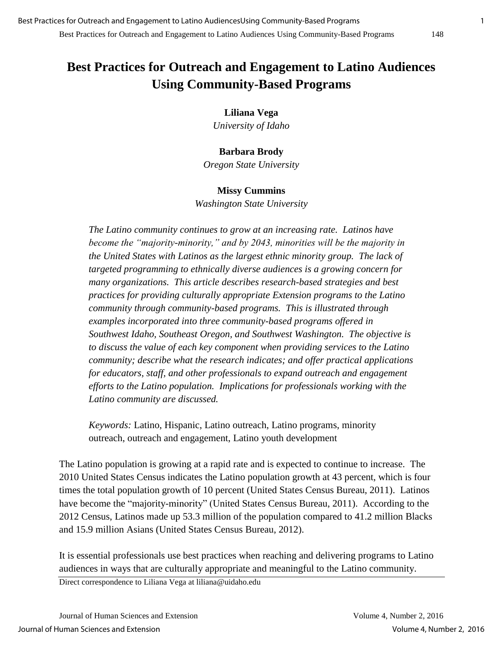# **Best Practices for Outreach and Engagement to Latino Audiences Using Community-Based Programs**

## **Liliana Vega**

*University of Idaho* 

## **Barbara Brody**

*Oregon State University* 

### **Missy Cummins**

*Washington State University* 

*The Latino community continues to grow at an increasing rate. Latinos have become the "majority-minority," and by 2043, minorities will be the majority in the United States with Latinos as the largest ethnic minority group. The lack of targeted programming to ethnically diverse audiences is a growing concern for many organizations. This article describes research-based strategies and best practices for providing culturally appropriate Extension programs to the Latino community through community-based programs. This is illustrated through examples incorporated into three community-based programs offered in Southwest Idaho, Southeast Oregon, and Southwest Washington. The objective is to discuss the value of each key component when providing services to the Latino community; describe what the research indicates; and offer practical applications for educators, staff, and other professionals to expand outreach and engagement efforts to the Latino population. Implications for professionals working with the Latino community are discussed.* 

*Keywords:* Latino, Hispanic, Latino outreach, Latino programs, minority outreach, outreach and engagement, Latino youth development

The Latino population is growing at a rapid rate and is expected to continue to increase. The 2010 United States Census indicates the Latino population growth at 43 percent, which is four times the total population growth of 10 percent (United States Census Bureau, 2011). Latinos have become the "majority-minority" (United States Census Bureau, 2011). According to the 2012 Census, Latinos made up 53.3 million of the population compared to 41.2 million Blacks and 15.9 million Asians (United States Census Bureau, 2012).

It is essential professionals use best practices when reaching and delivering programs to Latino audiences in ways that are culturally appropriate and meaningful to the Latino community.

Direct correspondence to Liliana Vega at liliana@uidaho.edu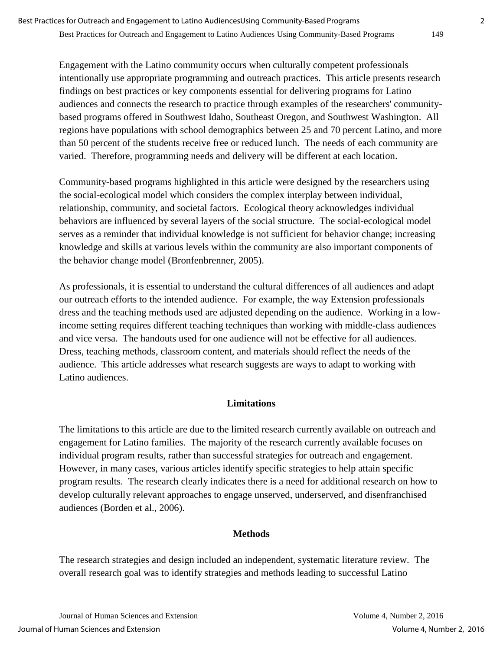Engagement with the Latino community occurs when culturally competent professionals intentionally use appropriate programming and outreach practices. This article presents research findings on best practices or key components essential for delivering programs for Latino audiences and connects the research to practice through examples of the researchers' communitybased programs offered in Southwest Idaho, Southeast Oregon, and Southwest Washington. All regions have populations with school demographics between 25 and 70 percent Latino, and more than 50 percent of the students receive free or reduced lunch. The needs of each community are varied. Therefore, programming needs and delivery will be different at each location.

Community-based programs highlighted in this article were designed by the researchers using the social-ecological model which considers the complex interplay between individual, relationship, community, and societal factors. Ecological theory acknowledges individual behaviors are influenced by several layers of the social structure. The social-ecological model serves as a reminder that individual knowledge is not sufficient for behavior change; increasing knowledge and skills at various levels within the community are also important components of the behavior change model (Bronfenbrenner, 2005).

As professionals, it is essential to understand the cultural differences of all audiences and adapt our outreach efforts to the intended audience. For example, the way Extension professionals dress and the teaching methods used are adjusted depending on the audience. Working in a lowincome setting requires different teaching techniques than working with middle-class audiences and vice versa. The handouts used for one audience will not be effective for all audiences. Dress, teaching methods, classroom content, and materials should reflect the needs of the audience. This article addresses what research suggests are ways to adapt to working with Latino audiences.

### **Limitations**

The limitations to this article are due to the limited research currently available on outreach and engagement for Latino families. The majority of the research currently available focuses on individual program results, rather than successful strategies for outreach and engagement. However, in many cases, various articles identify specific strategies to help attain specific program results. The research clearly indicates there is a need for additional research on how to develop culturally relevant approaches to engage unserved, underserved, and disenfranchised audiences (Borden et al., 2006).

### **Methods**

The research strategies and design included an independent, systematic literature review. The overall research goal was to identify strategies and methods leading to successful Latino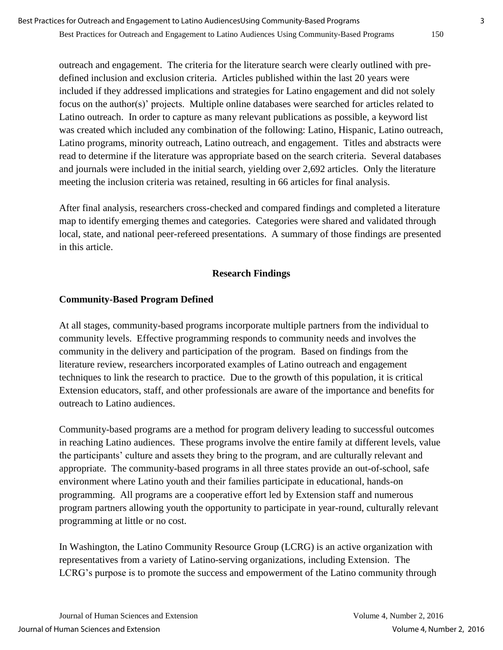outreach and engagement. The criteria for the literature search were clearly outlined with predefined inclusion and exclusion criteria. Articles published within the last 20 years were included if they addressed implications and strategies for Latino engagement and did not solely focus on the author(s)' projects. Multiple online databases were searched for articles related to Latino outreach. In order to capture as many relevant publications as possible, a keyword list was created which included any combination of the following: Latino, Hispanic, Latino outreach, Latino programs, minority outreach, Latino outreach, and engagement. Titles and abstracts were read to determine if the literature was appropriate based on the search criteria. Several databases and journals were included in the initial search, yielding over 2,692 articles. Only the literature meeting the inclusion criteria was retained, resulting in 66 articles for final analysis.

After final analysis, researchers cross-checked and compared findings and completed a literature map to identify emerging themes and categories. Categories were shared and validated through local, state, and national peer-refereed presentations. A summary of those findings are presented in this article.

### **Research Findings**

#### **Community-Based Program Defined**

At all stages, community-based programs incorporate multiple partners from the individual to community levels. Effective programming responds to community needs and involves the community in the delivery and participation of the program. Based on findings from the literature review, researchers incorporated examples of Latino outreach and engagement techniques to link the research to practice. Due to the growth of this population, it is critical Extension educators, staff, and other professionals are aware of the importance and benefits for outreach to Latino audiences.

Community-based programs are a method for program delivery leading to successful outcomes in reaching Latino audiences. These programs involve the entire family at different levels, value the participants' culture and assets they bring to the program, and are culturally relevant and appropriate. The community-based programs in all three states provide an out-of-school, safe environment where Latino youth and their families participate in educational, hands-on programming. All programs are a cooperative effort led by Extension staff and numerous program partners allowing youth the opportunity to participate in year-round, culturally relevant programming at little or no cost.

In Washington, the Latino Community Resource Group (LCRG) is an active organization with representatives from a variety of Latino-serving organizations, including Extension. The LCRG's purpose is to promote the success and empowerment of the Latino community through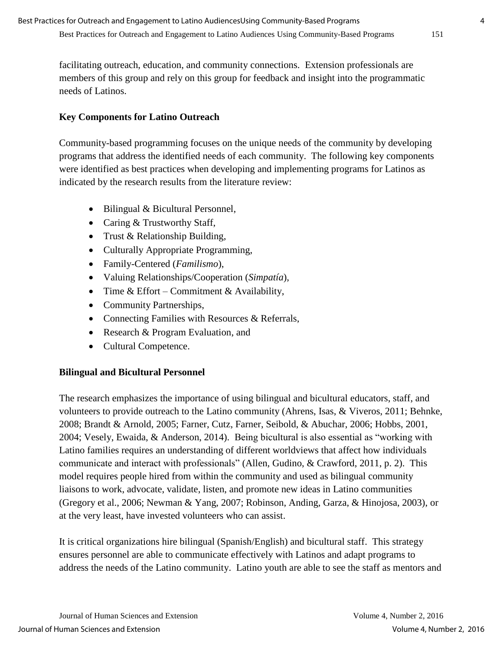facilitating outreach, education, and community connections. Extension professionals are members of this group and rely on this group for feedback and insight into the programmatic needs of Latinos.

## **Key Components for Latino Outreach**

Community-based programming focuses on the unique needs of the community by developing programs that address the identified needs of each community. The following key components were identified as best practices when developing and implementing programs for Latinos as indicated by the research results from the literature review:

- Bilingual & Bicultural Personnel,
- Caring & Trustworthy Staff,
- Trust & Relationship Building,
- Culturally Appropriate Programming,
- Family-Centered (*Familismo*),
- Valuing Relationships/Cooperation (*Simpatía*),
- Time & Effort Commitment & Availability,
- Community Partnerships,
- Connecting Families with Resources & Referrals,
- Research & Program Evaluation, and
- Cultural Competence.

## **Bilingual and Bicultural Personnel**

The research emphasizes the importance of using bilingual and bicultural educators, staff, and volunteers to provide outreach to the Latino community (Ahrens, Isas, & Viveros, 2011; Behnke, 2008; Brandt & Arnold, 2005; Farner, Cutz, Farner, Seibold, & Abuchar, 2006; Hobbs, 2001, 2004; Vesely, Ewaida, & Anderson, 2014). Being bicultural is also essential as "working with Latino families requires an understanding of different worldviews that affect how individuals communicate and interact with professionals" (Allen, Gudino, & Crawford, 2011, p. 2). This model requires people hired from within the community and used as bilingual community liaisons to work, advocate, validate, listen, and promote new ideas in Latino communities (Gregory et al., 2006; Newman & Yang, 2007; Robinson, Anding, Garza, & Hinojosa, 2003), or at the very least, have invested volunteers who can assist.

It is critical organizations hire bilingual (Spanish/English) and bicultural staff. This strategy ensures personnel are able to communicate effectively with Latinos and adapt programs to address the needs of the Latino community. Latino youth are able to see the staff as mentors and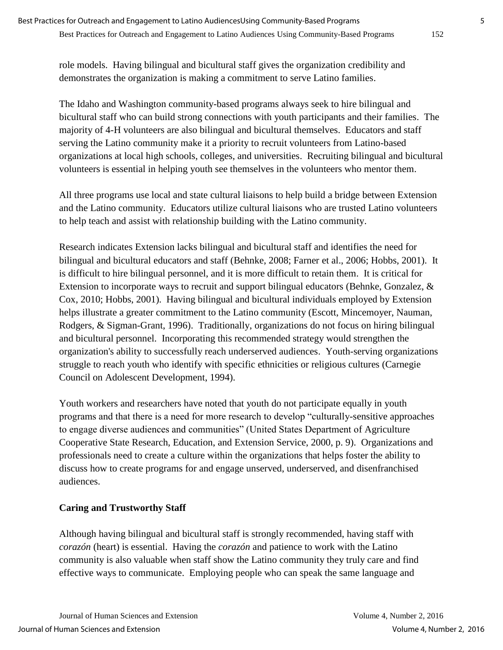role models. Having bilingual and bicultural staff gives the organization credibility and demonstrates the organization is making a commitment to serve Latino families.

The Idaho and Washington community-based programs always seek to hire bilingual and bicultural staff who can build strong connections with youth participants and their families. The majority of 4-H volunteers are also bilingual and bicultural themselves. Educators and staff serving the Latino community make it a priority to recruit volunteers from Latino-based organizations at local high schools, colleges, and universities. Recruiting bilingual and bicultural volunteers is essential in helping youth see themselves in the volunteers who mentor them.

All three programs use local and state cultural liaisons to help build a bridge between Extension and the Latino community. Educators utilize cultural liaisons who are trusted Latino volunteers to help teach and assist with relationship building with the Latino community.

Research indicates Extension lacks bilingual and bicultural staff and identifies the need for bilingual and bicultural educators and staff (Behnke, 2008; Farner et al., 2006; Hobbs, 2001). It is difficult to hire bilingual personnel, and it is more difficult to retain them. It is critical for Extension to incorporate ways to recruit and support bilingual educators (Behnke, Gonzalez, & Cox, 2010; Hobbs, 2001). Having bilingual and bicultural individuals employed by Extension helps illustrate a greater commitment to the Latino community (Escott, Mincemoyer, Nauman, Rodgers, & Sigman-Grant, 1996). Traditionally, organizations do not focus on hiring bilingual and bicultural personnel. Incorporating this recommended strategy would strengthen the organization's ability to successfully reach underserved audiences. Youth-serving organizations struggle to reach youth who identify with specific ethnicities or religious cultures (Carnegie Council on Adolescent Development, 1994).

Youth workers and researchers have noted that youth do not participate equally in youth programs and that there is a need for more research to develop "culturally-sensitive approaches to engage diverse audiences and communities" (United States Department of Agriculture Cooperative State Research, Education, and Extension Service, 2000, p. 9). Organizations and professionals need to create a culture within the organizations that helps foster the ability to discuss how to create programs for and engage unserved, underserved, and disenfranchised audiences.

## **Caring and Trustworthy Staff**

Although having bilingual and bicultural staff is strongly recommended, having staff with *corazón* (heart) is essential. Having the *corazón* and patience to work with the Latino community is also valuable when staff show the Latino community they truly care and find effective ways to communicate. Employing people who can speak the same language and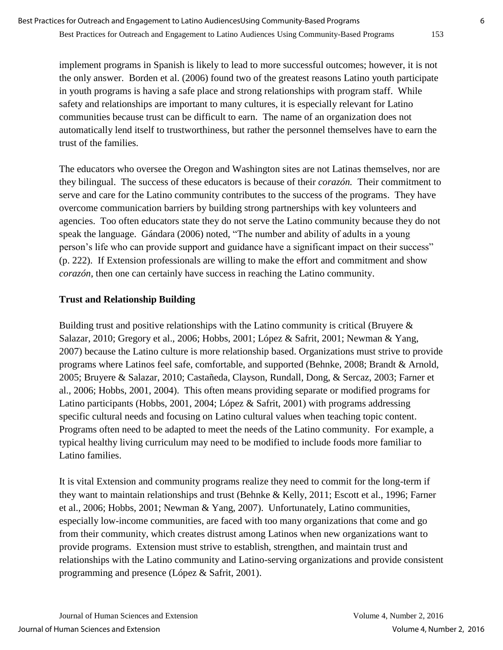implement programs in Spanish is likely to lead to more successful outcomes; however, it is not the only answer. Borden et al. (2006) found two of the greatest reasons Latino youth participate in youth programs is having a safe place and strong relationships with program staff. While safety and relationships are important to many cultures, it is especially relevant for Latino communities because trust can be difficult to earn. The name of an organization does not automatically lend itself to trustworthiness, but rather the personnel themselves have to earn the trust of the families.

The educators who oversee the Oregon and Washington sites are not Latinas themselves, nor are they bilingual. The success of these educators is because of their *corazón.* Their commitment to serve and care for the Latino community contributes to the success of the programs. They have overcome communication barriers by building strong partnerships with key volunteers and agencies. Too often educators state they do not serve the Latino community because they do not speak the language. Gándara (2006) noted, "The number and ability of adults in a young person's life who can provide support and guidance have a significant impact on their success" (p. 222). If Extension professionals are willing to make the effort and commitment and show *corazón*, then one can certainly have success in reaching the Latino community.

### **Trust and Relationship Building**

Building trust and positive relationships with the Latino community is critical (Bruyere  $\&$ Salazar, 2010; Gregory et al., 2006; Hobbs, 2001; López & Safrit, 2001; Newman & Yang, 2007) because the Latino culture is more relationship based. Organizations must strive to provide programs where Latinos feel safe, comfortable, and supported (Behnke, 2008; Brandt & Arnold, 2005; Bruyere & Salazar, 2010; Castañeda, Clayson, Rundall, Dong, & Sercaz, 2003; Farner et al., 2006; Hobbs, 2001, 2004). This often means providing separate or modified programs for Latino participants (Hobbs, 2001, 2004; López & Safrit, 2001) with programs addressing specific cultural needs and focusing on Latino cultural values when teaching topic content. Programs often need to be adapted to meet the needs of the Latino community. For example, a typical healthy living curriculum may need to be modified to include foods more familiar to Latino families.

It is vital Extension and community programs realize they need to commit for the long-term if they want to maintain relationships and trust (Behnke & Kelly, 2011; Escott et al., 1996; Farner et al., 2006; Hobbs, 2001; Newman & Yang, 2007). Unfortunately, Latino communities, especially low-income communities, are faced with too many organizations that come and go from their community, which creates distrust among Latinos when new organizations want to provide programs. Extension must strive to establish, strengthen, and maintain trust and relationships with the Latino community and Latino-serving organizations and provide consistent programming and presence (López & Safrit, 2001).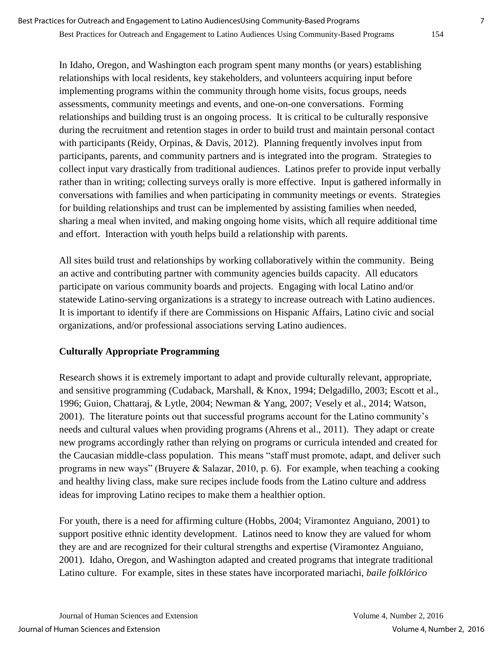In Idaho, Oregon, and Washington each program spent many months (or years) establishing relationships with local residents, key stakeholders, and volunteers acquiring input before implementing programs within the community through home visits, focus groups, needs assessments, community meetings and events, and one-on-one conversations. Forming relationships and building trust is an ongoing process. It is critical to be culturally responsive during the recruitment and retention stages in order to build trust and maintain personal contact with participants (Reidy, Orpinas, & Davis, 2012). Planning frequently involves input from participants, parents, and community partners and is integrated into the program. Strategies to collect input vary drastically from traditional audiences. Latinos prefer to provide input verbally rather than in writing; collecting surveys orally is more effective. Input is gathered informally in conversations with families and when participating in community meetings or events. Strategies for building relationships and trust can be implemented by assisting families when needed, sharing a meal when invited, and making ongoing home visits, which all require additional time and effort. Interaction with youth helps build a relationship with parents.

All sites build trust and relationships by working collaboratively within the community. Being an active and contributing partner with community agencies builds capacity. All educators participate on various community boards and projects. Engaging with local Latino and/or statewide Latino-serving organizations is a strategy to increase outreach with Latino audiences. It is important to identify if there are Commissions on Hispanic Affairs, Latino civic and social organizations, and/or professional associations serving Latino audiences.

### **Culturally Appropriate Programming**

Research shows it is extremely important to adapt and provide culturally relevant, appropriate, and sensitive programming (Cudaback, Marshall, & Knox, 1994; Delgadillo, 2003; Escott et al., 1996; Guion, Chattaraj, & Lytle, 2004; Newman & Yang, 2007; Vesely et al., 2014; Watson, 2001). The literature points out that successful programs account for the Latino community's needs and cultural values when providing programs (Ahrens et al., 2011). They adapt or create new programs accordingly rather than relying on programs or curricula intended and created for the Caucasian middle-class population. This means "staff must promote, adapt, and deliver such programs in new ways" (Bruyere & Salazar, 2010, p. 6). For example, when teaching a cooking and healthy living class, make sure recipes include foods from the Latino culture and address ideas for improving Latino recipes to make them a healthier option.

For youth, there is a need for affirming culture (Hobbs, 2004; Viramontez Anguiano, 2001) to support positive ethnic identity development. Latinos need to know they are valued for whom they are and are recognized for their cultural strengths and expertise (Viramontez Anguiano, 2001). Idaho, Oregon, and Washington adapted and created programs that integrate traditional Latino culture. For example, sites in these states have incorporated mariachi, *baile folklórico*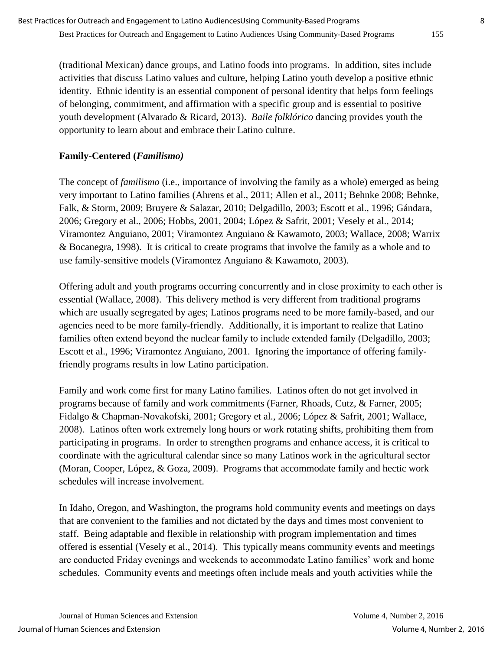(traditional Mexican) dance groups, and Latino foods into programs. In addition, sites include activities that discuss Latino values and culture, helping Latino youth develop a positive ethnic identity. Ethnic identity is an essential component of personal identity that helps form feelings of belonging, commitment, and affirmation with a specific group and is essential to positive youth development (Alvarado & Ricard, 2013). *Baile folklórico* dancing provides youth the opportunity to learn about and embrace their Latino culture.

## **Family-Centered (***Familismo)*

The concept of *familismo* (i.e., importance of involving the family as a whole) emerged as being very important to Latino families (Ahrens et al., 2011; Allen et al., 2011; Behnke 2008; Behnke, Falk, & Storm, 2009; Bruyere & Salazar, 2010; Delgadillo, 2003; Escott et al., 1996; Gándara, 2006; Gregory et al., 2006; Hobbs, 2001, 2004; López & Safrit, 2001; Vesely et al., 2014; Viramontez Anguiano, 2001; Viramontez Anguiano & Kawamoto, 2003; Wallace, 2008; Warrix & Bocanegra, 1998). It is critical to create programs that involve the family as a whole and to use family-sensitive models (Viramontez Anguiano & Kawamoto, 2003).

Offering adult and youth programs occurring concurrently and in close proximity to each other is essential (Wallace, 2008). This delivery method is very different from traditional programs which are usually segregated by ages; Latinos programs need to be more family-based, and our agencies need to be more family-friendly. Additionally, it is important to realize that Latino families often extend beyond the nuclear family to include extended family (Delgadillo, 2003; Escott et al., 1996; Viramontez Anguiano, 2001. Ignoring the importance of offering familyfriendly programs results in low Latino participation.

Family and work come first for many Latino families. Latinos often do not get involved in programs because of family and work commitments (Farner, Rhoads, Cutz, & Farner, 2005; Fidalgo & Chapman-Novakofski, 2001; Gregory et al., 2006; López & Safrit, 2001; Wallace, 2008). Latinos often work extremely long hours or work rotating shifts, prohibiting them from participating in programs. In order to strengthen programs and enhance access, it is critical to coordinate with the agricultural calendar since so many Latinos work in the agricultural sector (Moran, Cooper, López, & Goza, 2009). Programs that accommodate family and hectic work schedules will increase involvement.

In Idaho, Oregon, and Washington, the programs hold community events and meetings on days that are convenient to the families and not dictated by the days and times most convenient to staff. Being adaptable and flexible in relationship with program implementation and times offered is essential (Vesely et al., 2014). This typically means community events and meetings are conducted Friday evenings and weekends to accommodate Latino families' work and home schedules. Community events and meetings often include meals and youth activities while the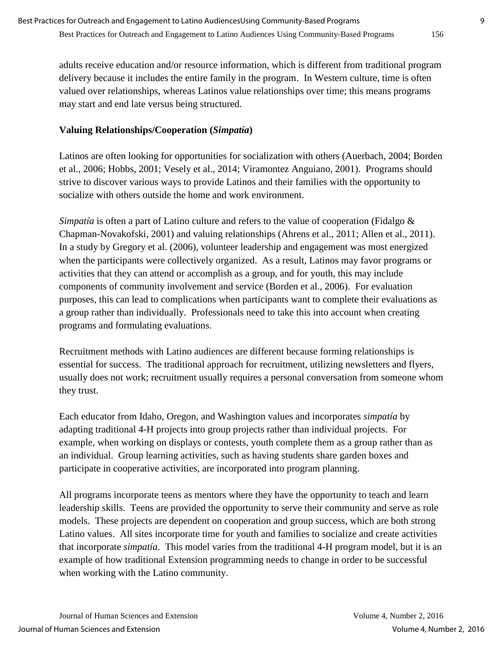adults receive education and/or resource information, which is different from traditional program delivery because it includes the entire family in the program. In Western culture, time is often valued over relationships, whereas Latinos value relationships over time; this means programs may start and end late versus being structured.

## **Valuing Relationships/Cooperation (***Simpatía***)**

Latinos are often looking for opportunities for socialization with others (Auerbach, 2004; Borden et al., 2006; Hobbs, 2001; Vesely et al., 2014; Viramontez Anguiano, 2001). Programs should strive to discover various ways to provide Latinos and their families with the opportunity to socialize with others outside the home and work environment.

*Simpatía* is often a part of Latino culture and refers to the value of cooperation (Fidalgo & Chapman-Novakofski, 2001) and valuing relationships (Ahrens et al., 2011; Allen et al., 2011). In a study by Gregory et al. (2006), volunteer leadership and engagement was most energized when the participants were collectively organized. As a result, Latinos may favor programs or activities that they can attend or accomplish as a group, and for youth, this may include components of community involvement and service (Borden et al., 2006). For evaluation purposes, this can lead to complications when participants want to complete their evaluations as a group rather than individually. Professionals need to take this into account when creating programs and formulating evaluations.

Recruitment methods with Latino audiences are different because forming relationships is essential for success. The traditional approach for recruitment, utilizing newsletters and flyers, usually does not work; recruitment usually requires a personal conversation from someone whom they trust.

Each educator from Idaho, Oregon, and Washington values and incorporates *simpatía* by adapting traditional 4-H projects into group projects rather than individual projects. For example, when working on displays or contests, youth complete them as a group rather than as an individual. Group learning activities, such as having students share garden boxes and participate in cooperative activities, are incorporated into program planning.

All programs incorporate teens as mentors where they have the opportunity to teach and learn leadership skills. Teens are provided the opportunity to serve their community and serve as role models. These projects are dependent on cooperation and group success, which are both strong Latino values. All sites incorporate time for youth and families to socialize and create activities that incorporate *simpatía*. This model varies from the traditional 4-H program model, but it is an example of how traditional Extension programming needs to change in order to be successful when working with the Latino community.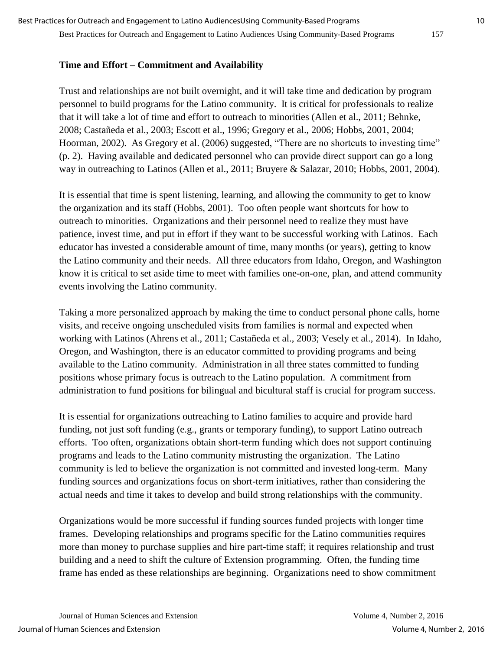#### **Time and Effort – Commitment and Availability**

Trust and relationships are not built overnight, and it will take time and dedication by program personnel to build programs for the Latino community. It is critical for professionals to realize that it will take a lot of time and effort to outreach to minorities (Allen et al., 2011; Behnke, 2008; Castañeda et al., 2003; Escott et al., 1996; Gregory et al., 2006; Hobbs, 2001, 2004; Hoorman, 2002). As Gregory et al. (2006) suggested, "There are no shortcuts to investing time" (p. 2). Having available and dedicated personnel who can provide direct support can go a long way in outreaching to Latinos (Allen et al., 2011; Bruyere & Salazar, 2010; Hobbs, 2001, 2004).

It is essential that time is spent listening, learning, and allowing the community to get to know the organization and its staff (Hobbs, 2001). Too often people want shortcuts for how to outreach to minorities. Organizations and their personnel need to realize they must have patience, invest time, and put in effort if they want to be successful working with Latinos. Each educator has invested a considerable amount of time, many months (or years), getting to know the Latino community and their needs. All three educators from Idaho, Oregon, and Washington know it is critical to set aside time to meet with families one-on-one, plan, and attend community events involving the Latino community.

Taking a more personalized approach by making the time to conduct personal phone calls, home visits, and receive ongoing unscheduled visits from families is normal and expected when working with Latinos (Ahrens et al., 2011; Castañeda et al., 2003; Vesely et al., 2014). In Idaho, Oregon, and Washington, there is an educator committed to providing programs and being available to the Latino community. Administration in all three states committed to funding positions whose primary focus is outreach to the Latino population. A commitment from administration to fund positions for bilingual and bicultural staff is crucial for program success.

It is essential for organizations outreaching to Latino families to acquire and provide hard funding, not just soft funding (e.g., grants or temporary funding), to support Latino outreach efforts. Too often, organizations obtain short-term funding which does not support continuing programs and leads to the Latino community mistrusting the organization. The Latino community is led to believe the organization is not committed and invested long-term. Many funding sources and organizations focus on short-term initiatives, rather than considering the actual needs and time it takes to develop and build strong relationships with the community.

Organizations would be more successful if funding sources funded projects with longer time frames. Developing relationships and programs specific for the Latino communities requires more than money to purchase supplies and hire part-time staff; it requires relationship and trust building and a need to shift the culture of Extension programming. Often, the funding time frame has ended as these relationships are beginning. Organizations need to show commitment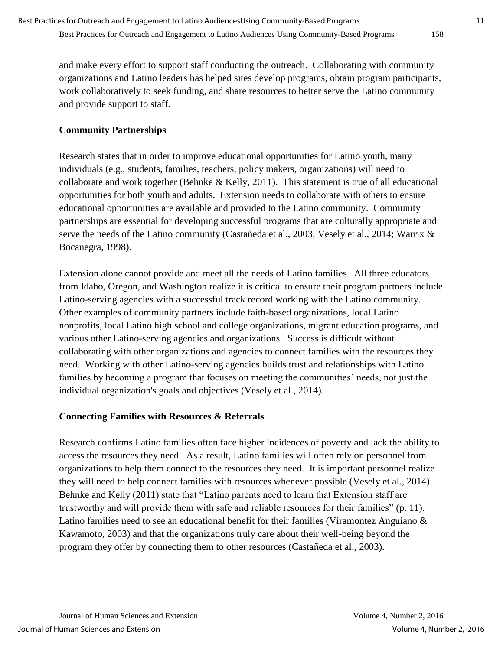and make every effort to support staff conducting the outreach. Collaborating with community organizations and Latino leaders has helped sites develop programs, obtain program participants, work collaboratively to seek funding, and share resources to better serve the Latino community and provide support to staff.

## **Community Partnerships**

Research states that in order to improve educational opportunities for Latino youth, many individuals (e.g., students, families, teachers, policy makers, organizations) will need to collaborate and work together (Behnke & Kelly, 2011). This statement is true of all educational opportunities for both youth and adults. Extension needs to collaborate with others to ensure educational opportunities are available and provided to the Latino community. Community partnerships are essential for developing successful programs that are culturally appropriate and serve the needs of the Latino community (Castañeda et al., 2003; Vesely et al., 2014; Warrix & Bocanegra, 1998).

Extension alone cannot provide and meet all the needs of Latino families. All three educators from Idaho, Oregon, and Washington realize it is critical to ensure their program partners include Latino-serving agencies with a successful track record working with the Latino community. Other examples of community partners include faith-based organizations, local Latino nonprofits, local Latino high school and college organizations, migrant education programs, and various other Latino-serving agencies and organizations. Success is difficult without collaborating with other organizations and agencies to connect families with the resources they need. Working with other Latino-serving agencies builds trust and relationships with Latino families by becoming a program that focuses on meeting the communities' needs, not just the individual organization's goals and objectives (Vesely et al., 2014).

## **Connecting Families with Resources & Referrals**

Research confirms Latino families often face higher incidences of poverty and lack the ability to access the resources they need. As a result, Latino families will often rely on personnel from organizations to help them connect to the resources they need. It is important personnel realize they will need to help connect families with resources whenever possible (Vesely et al., 2014). Behnke and Kelly (2011) state that "Latino parents need to learn that Extension staff are trustworthy and will provide them with safe and reliable resources for their families" (p. 11). Latino families need to see an educational benefit for their families (Viramontez Anguiano & Kawamoto, 2003) and that the organizations truly care about their well-being beyond the program they offer by connecting them to other resources (Castañeda et al., 2003).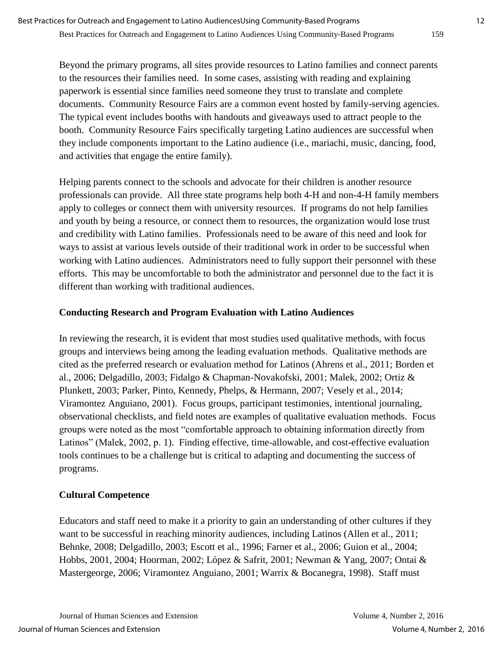Beyond the primary programs, all sites provide resources to Latino families and connect parents to the resources their families need. In some cases, assisting with reading and explaining paperwork is essential since families need someone they trust to translate and complete documents. Community Resource Fairs are a common event hosted by family-serving agencies. The typical event includes booths with handouts and giveaways used to attract people to the booth. Community Resource Fairs specifically targeting Latino audiences are successful when they include components important to the Latino audience (i.e., mariachi, music, dancing, food, and activities that engage the entire family).

Helping parents connect to the schools and advocate for their children is another resource professionals can provide. All three state programs help both 4-H and non-4-H family members apply to colleges or connect them with university resources. If programs do not help families and youth by being a resource, or connect them to resources, the organization would lose trust and credibility with Latino families. Professionals need to be aware of this need and look for ways to assist at various levels outside of their traditional work in order to be successful when working with Latino audiences. Administrators need to fully support their personnel with these efforts. This may be uncomfortable to both the administrator and personnel due to the fact it is different than working with traditional audiences.

### **Conducting Research and Program Evaluation with Latino Audiences**

In reviewing the research, it is evident that most studies used qualitative methods, with focus groups and interviews being among the leading evaluation methods. Qualitative methods are cited as the preferred research or evaluation method for Latinos (Ahrens et al., 2011; Borden et al., 2006; Delgadillo, 2003; Fidalgo & Chapman-Novakofski, 2001; Malek, 2002; Ortiz & Plunkett, 2003; Parker, Pinto, Kennedy, Phelps, & Hermann, 2007; Vesely et al., 2014; Viramontez Anguiano, 2001). Focus groups, participant testimonies, intentional journaling, observational checklists, and field notes are examples of qualitative evaluation methods. Focus groups were noted as the most "comfortable approach to obtaining information directly from Latinos" (Malek, 2002, p. 1). Finding effective, time-allowable, and cost-effective evaluation tools continues to be a challenge but is critical to adapting and documenting the success of programs.

## **Cultural Competence**

Educators and staff need to make it a priority to gain an understanding of other cultures if they want to be successful in reaching minority audiences, including Latinos (Allen et al., 2011; Behnke, 2008; Delgadillo, 2003; Escott et al., 1996; Farner et al., 2006; Guion et al., 2004; Hobbs, 2001, 2004; Hoorman, 2002; López & Safrit, 2001; Newman & Yang, 2007; Ontai & Mastergeorge, 2006; Viramontez Anguiano, 2001; Warrix & Bocanegra, 1998). Staff must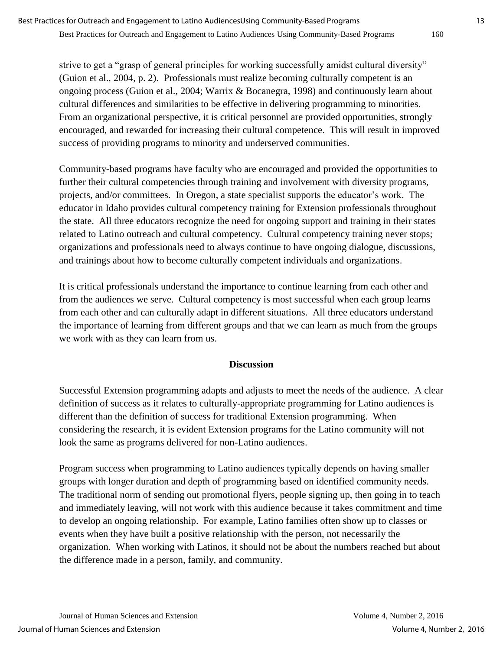strive to get a "grasp of general principles for working successfully amidst cultural diversity" (Guion et al., 2004, p. 2). Professionals must realize becoming culturally competent is an ongoing process (Guion et al., 2004; Warrix & Bocanegra, 1998) and continuously learn about cultural differences and similarities to be effective in delivering programming to minorities. From an organizational perspective, it is critical personnel are provided opportunities, strongly encouraged, and rewarded for increasing their cultural competence. This will result in improved success of providing programs to minority and underserved communities.

Community-based programs have faculty who are encouraged and provided the opportunities to further their cultural competencies through training and involvement with diversity programs, projects, and/or committees. In Oregon, a state specialist supports the educator's work. The educator in Idaho provides cultural competency training for Extension professionals throughout the state. All three educators recognize the need for ongoing support and training in their states related to Latino outreach and cultural competency. Cultural competency training never stops; organizations and professionals need to always continue to have ongoing dialogue, discussions, and trainings about how to become culturally competent individuals and organizations.

It is critical professionals understand the importance to continue learning from each other and from the audiences we serve. Cultural competency is most successful when each group learns from each other and can culturally adapt in different situations. All three educators understand the importance of learning from different groups and that we can learn as much from the groups we work with as they can learn from us.

### **Discussion**

Successful Extension programming adapts and adjusts to meet the needs of the audience. A clear definition of success as it relates to culturally-appropriate programming for Latino audiences is different than the definition of success for traditional Extension programming. When considering the research, it is evident Extension programs for the Latino community will not look the same as programs delivered for non-Latino audiences.

Program success when programming to Latino audiences typically depends on having smaller groups with longer duration and depth of programming based on identified community needs. The traditional norm of sending out promotional flyers, people signing up, then going in to teach and immediately leaving, will not work with this audience because it takes commitment and time to develop an ongoing relationship. For example, Latino families often show up to classes or events when they have built a positive relationship with the person, not necessarily the organization. When working with Latinos, it should not be about the numbers reached but about the difference made in a person, family, and community.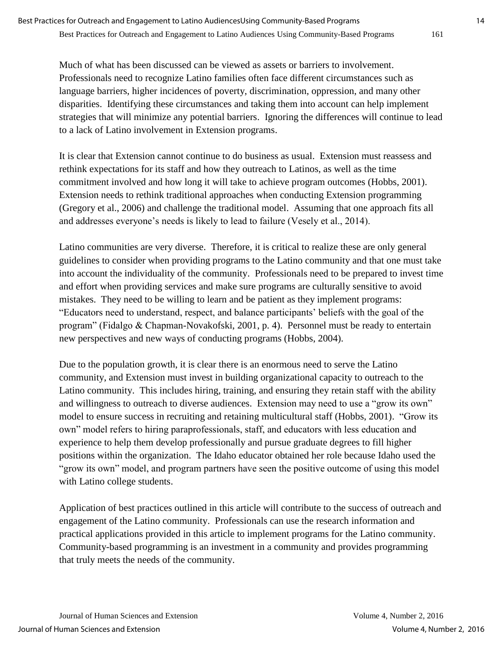Much of what has been discussed can be viewed as assets or barriers to involvement. Professionals need to recognize Latino families often face different circumstances such as language barriers, higher incidences of poverty, discrimination, oppression, and many other disparities. Identifying these circumstances and taking them into account can help implement strategies that will minimize any potential barriers. Ignoring the differences will continue to lead to a lack of Latino involvement in Extension programs.

It is clear that Extension cannot continue to do business as usual. Extension must reassess and rethink expectations for its staff and how they outreach to Latinos, as well as the time commitment involved and how long it will take to achieve program outcomes (Hobbs, 2001). Extension needs to rethink traditional approaches when conducting Extension programming (Gregory et al., 2006) and challenge the traditional model. Assuming that one approach fits all and addresses everyone's needs is likely to lead to failure (Vesely et al., 2014).

Latino communities are very diverse. Therefore, it is critical to realize these are only general guidelines to consider when providing programs to the Latino community and that one must take into account the individuality of the community. Professionals need to be prepared to invest time and effort when providing services and make sure programs are culturally sensitive to avoid mistakes. They need to be willing to learn and be patient as they implement programs: "Educators need to understand, respect, and balance participants' beliefs with the goal of the program" (Fidalgo & Chapman-Novakofski, 2001, p. 4). Personnel must be ready to entertain new perspectives and new ways of conducting programs (Hobbs, 2004).

Due to the population growth, it is clear there is an enormous need to serve the Latino community, and Extension must invest in building organizational capacity to outreach to the Latino community. This includes hiring, training, and ensuring they retain staff with the ability and willingness to outreach to diverse audiences. Extension may need to use a "grow its own" model to ensure success in recruiting and retaining multicultural staff (Hobbs, 2001). "Grow its own" model refers to hiring paraprofessionals, staff, and educators with less education and experience to help them develop professionally and pursue graduate degrees to fill higher positions within the organization. The Idaho educator obtained her role because Idaho used the "grow its own" model, and program partners have seen the positive outcome of using this model with Latino college students.

Application of best practices outlined in this article will contribute to the success of outreach and engagement of the Latino community. Professionals can use the research information and practical applications provided in this article to implement programs for the Latino community. Community-based programming is an investment in a community and provides programming that truly meets the needs of the community.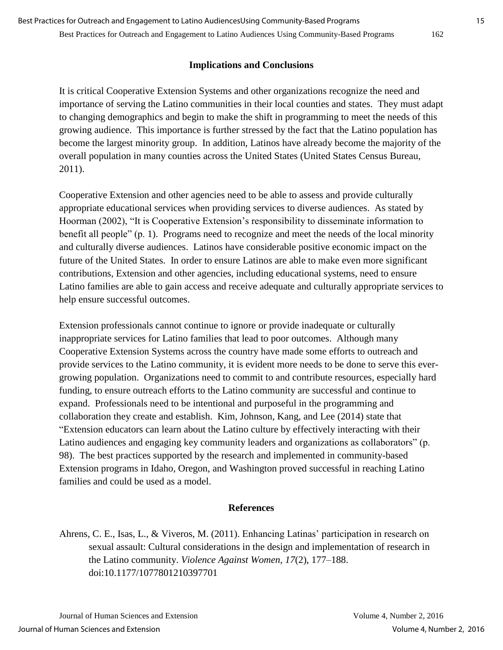#### **Implications and Conclusions**

It is critical Cooperative Extension Systems and other organizations recognize the need and importance of serving the Latino communities in their local counties and states. They must adapt to changing demographics and begin to make the shift in programming to meet the needs of this growing audience. This importance is further stressed by the fact that the Latino population has become the largest minority group. In addition, Latinos have already become the majority of the overall population in many counties across the United States (United States Census Bureau, 2011).

Cooperative Extension and other agencies need to be able to assess and provide culturally appropriate educational services when providing services to diverse audiences. As stated by Hoorman (2002), "It is Cooperative Extension's responsibility to disseminate information to benefit all people" (p. 1). Programs need to recognize and meet the needs of the local minority and culturally diverse audiences. Latinos have considerable positive economic impact on the future of the United States. In order to ensure Latinos are able to make even more significant contributions, Extension and other agencies, including educational systems, need to ensure Latino families are able to gain access and receive adequate and culturally appropriate services to help ensure successful outcomes.

Extension professionals cannot continue to ignore or provide inadequate or culturally inappropriate services for Latino families that lead to poor outcomes. Although many Cooperative Extension Systems across the country have made some efforts to outreach and provide services to the Latino community, it is evident more needs to be done to serve this evergrowing population. Organizations need to commit to and contribute resources, especially hard funding, to ensure outreach efforts to the Latino community are successful and continue to expand. Professionals need to be intentional and purposeful in the programming and collaboration they create and establish. Kim, Johnson, Kang, and Lee (2014) state that "Extension educators can learn about the Latino culture by effectively interacting with their Latino audiences and engaging key community leaders and organizations as collaborators" (p. 98). The best practices supported by the research and implemented in community-based Extension programs in Idaho, Oregon, and Washington proved successful in reaching Latino families and could be used as a model.

#### **References**

Ahrens, C. E., Isas, L., & Viveros, M. (2011). Enhancing Latinas' participation in research on sexual assault: Cultural considerations in the design and implementation of research in the Latino community. *Violence Against Women, 17*(2), 177–188. doi:10.1177/1077801210397701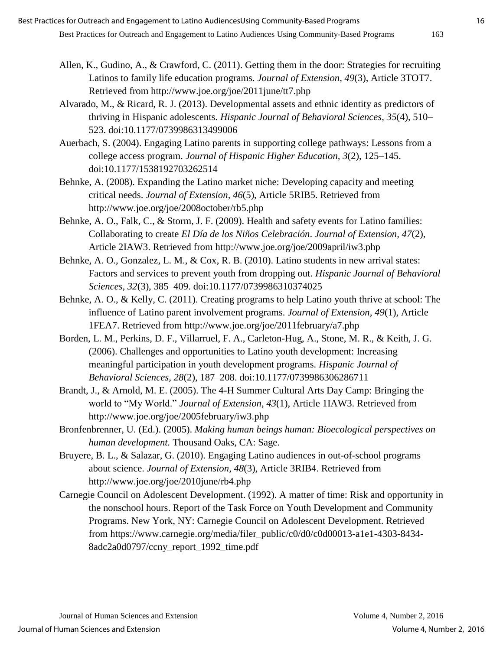- Allen, K., Gudino, A., & Crawford, C. (2011). Getting them in the door: Strategies for recruiting Latinos to family life education programs. *Journal of Extension, 49*(3), Article 3TOT7. Retrieved from<http://www.joe.org/joe/2011june/tt7.php>
- Alvarado, M., & Ricard, R. J. (2013). Developmental assets and ethnic identity as predictors of thriving in Hispanic adolescents. *Hispanic Journal of Behavioral Sciences, 35*(4), 510– 523. doi:10.1177/0739986313499006

Auerbach, S. (2004). Engaging Latino parents in supporting college pathways: Lessons from a college access program. *Journal of Hispanic Higher Education, 3*(2), 125–145. doi:10.1177/1538192703262514

Behnke, A. (2008). Expanding the Latino market niche: Developing capacity and meeting critical needs. *Journal of Extension, 46*(5), Article 5RIB5. Retrieved from http://www.joe.org/joe/2008october/rb5.php

Behnke, A. O., Falk, C., & Storm, J. F. (2009). Health and safety events for Latino families: Collaborating to create *El Día de los Niños Celebración*. *Journal of Extension, 47*(2), Article 2IAW3. Retrieved from http://www.joe.org/joe/2009april/iw3.php

- Behnke, A. O., Gonzalez, L. M., & Cox, R. B. (2010). Latino students in new arrival states: Factors and services to prevent youth from dropping out. *Hispanic Journal of Behavioral Sciences, 32*(3), 385–409. doi:10.1177/0739986310374025
- Behnke, A. O., & Kelly, C. (2011). Creating programs to help Latino youth thrive at school: The influence of Latino parent involvement programs. *Journal of Extension, 49*(1), Article 1FEA7. Retrieved from http://www.joe.org/joe/2011february/a7.php
- Borden, L. M., Perkins, D. F., Villarruel, F. A., Carleton-Hug, A., Stone, M. R., & Keith, J. G. (2006). Challenges and opportunities to Latino youth development: Increasing meaningful participation in youth development programs. *Hispanic Journal of Behavioral Sciences, 28*(2), 187–208. doi:10.1177/0739986306286711
- Brandt, J., & Arnold, M. E. (2005). The 4-H Summer Cultural Arts Day Camp: Bringing the world to "My World." *Journal of Extension, 43*(1), Article 1IAW3. Retrieved from http://www.joe.org/joe/2005february/iw3.php
- Bronfenbrenner, U. (Ed.). (2005). *Making human beings human: Bioecological perspectives on human development.* Thousand Oaks, CA: Sage.
- Bruyere, B. L., & Salazar, G. (2010). Engaging Latino audiences in out-of-school programs about science. *Journal of Extension, 48*(3), Article 3RIB4. Retrieved from <http://www.joe.org/joe/2010june/rb4.php>
- Carnegie Council on Adolescent Development. (1992). A matter of time: Risk and opportunity in the nonschool hours. Report of the Task Force on Youth Development and Community Programs. New York, NY: Carnegie Council on Adolescent Development. Retrieved from https://www.carnegie.org/media/filer\_public/c0/d0/c0d00013-a1e1-4303-8434- 8adc2a0d0797/ccny\_report\_1992\_time.pdf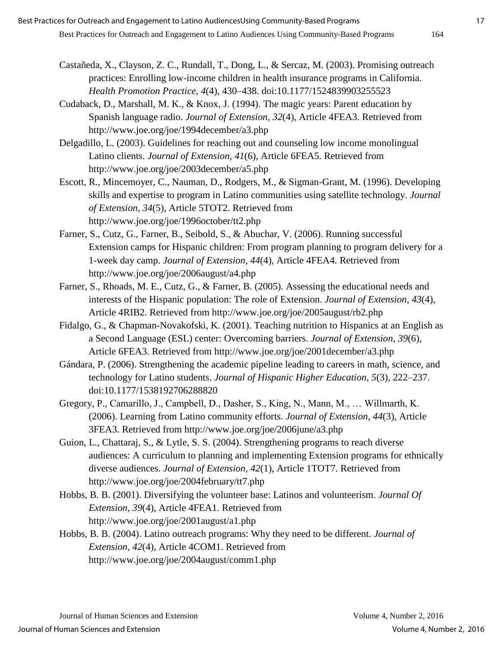- Castañeda, X., Clayson, Z. C., Rundall, T., Dong, L., & Sercaz, M. (2003). Promising outreach practices: Enrolling low-income children in health insurance programs in California. *Health Promotion Practice, 4*(4), 430–438. doi:10.1177/1524839903255523
- Cudaback, D., Marshall, M. K., & Knox, J. (1994). The magic years: Parent education by Spanish language radio. *Journal of Extension, 32*(4), Article 4FEA3. Retrieved from http://www.joe.org/joe/1994december/a3.php
- Delgadillo, L. (2003). Guidelines for reaching out and counseling low income monolingual Latino clients. *Journal of Extension, 41*(6), Article 6FEA5. Retrieved from http://www.joe.org/joe/2003december/a5.php
- Escott, R., Mincemoyer, C., Nauman, D., Rodgers, M., & Sigman-Grant, M. (1996). Developing skills and expertise to program in Latino communities using satellite technology. *Journal of Extension, 34*(5), Article 5TOT2. Retrieved from http://www.joe.org/joe/1996october/tt2.php
- Farner, S., Cutz, G., Farner, B., Seibold, S., & Abuchar, V. (2006). Running successful Extension camps for Hispanic children: From program planning to program delivery for a 1-week day camp. *Journal of Extension, 44*(4), Article 4FEA4. Retrieved from http://www.joe.org/joe/2006august/a4.php
- Farner, S., Rhoads, M. E., Cutz, G., & Farner, B. (2005). Assessing the educational needs and interests of the Hispanic population: The role of Extension. *Journal of Extension, 43*(4), Article 4RIB2. Retrieved from http://www.joe.org/joe/2005august/rb2.php
- Fidalgo, G., & Chapman-Novakofski, K. (2001). Teaching nutrition to Hispanics at an English as a Second Language (ESL) center: Overcoming barriers. *Journal of Extension, 39*(6), Article 6FEA3. Retrieved from http://www.joe.org/joe/2001december/a3.php
- Gándara, P. (2006). Strengthening the academic pipeline leading to careers in math, science, and technology for Latino students. *Journal of Hispanic Higher Education, 5*(3), 222–237. doi:10.1177/1538192706288820
- Gregory, P., Camarillo, J., Campbell, D., Dasher, S., King, N., Mann, M., … Willmarth, K. (2006). Learning from Latino community efforts. *Journal of Extension, 44*(3), Article 3FEA3. Retrieved from<http://www.joe.org/joe/2006june/a3.php>
- Guion, L., Chattaraj, S., & Lytle, S. S. (2004). Strengthening programs to reach diverse audiences: A curriculum to planning and implementing Extension programs for ethnically diverse audiences. *Journal of Extension, 42*(1), Article 1TOT7. Retrieved from <http://www.joe.org/joe/2004february/tt7.php>
- Hobbs, B. B. (2001). Diversifying the volunteer base: Latinos and volunteerism. *Journal Of Extension, 39*(4), Article 4FEA1. Retrieved from <http://www.joe.org/joe/2001august/a1.php>
- Hobbs, B. B. (2004). Latino outreach programs: Why they need to be different. *Journal of Extension, 42*(4), Article 4COM1. Retrieved from <http://www.joe.org/joe/2004august/comm1.php>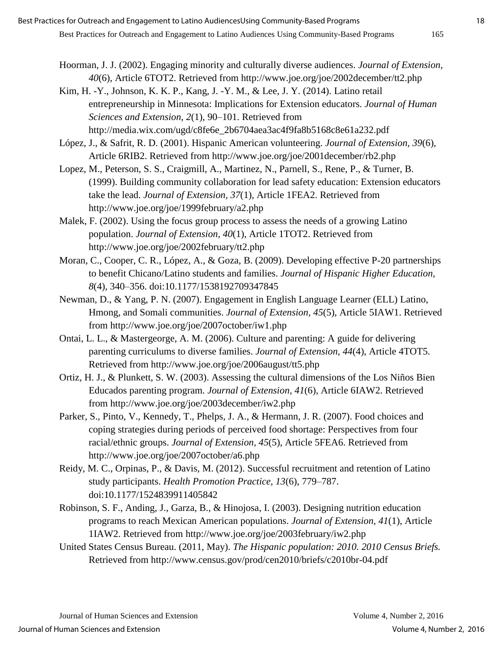- Hoorman, J. J. (2002). Engaging minority and culturally diverse audiences. *Journal of Extension, 40*(6), Article 6TOT2. Retrieved from<http://www.joe.org/joe/2002december/tt2.php>
- Kim, H. -Y., Johnson, K. K. P., Kang, J. -Y. M., & Lee, J. Y. (2014). Latino retail entrepreneurship in Minnesota: Implications for Extension educators. *Journal of Human Sciences and Extension, 2*(1), 90–101. Retrieved from [http://media.wix.com/ugd/c8fe6e\\_2b6704aea3ac4f9fa8b5168c8e61a232.pdf](http://media.wix.com/ugd/c8fe6e_2b6704aea3ac4f9fa8b5168c8e61a232.pdf)

López, J., & Safrit, R. D. (2001). Hispanic American volunteering. *Journal of Extension, 39*(6), Article 6RIB2. Retrieved from<http://www.joe.org/joe/2001december/rb2.php>

- Lopez, M., Peterson, S. S., Craigmill, A., Martinez, N., Parnell, S., Rene, P., & Turner, B. (1999). Building community collaboration for lead safety education: Extension educators take the lead. *Journal of Extension, 37*(1), Article 1FEA2. Retrieved from <http://www.joe.org/joe/1999february/a2.php>
- Malek, F. (2002). Using the focus group process to assess the needs of a growing Latino population. *Journal of Extension, 40*(1), Article 1TOT2. Retrieved from <http://www.joe.org/joe/2002february/tt2.php>
- Moran, C., Cooper, C. R., López, A., & Goza, B. (2009). Developing effective P-20 partnerships to benefit Chicano/Latino students and families. *Journal of Hispanic Higher Education, 8*(4)*,* 340–356. doi:10.1177/1538192709347845
- Newman, D., & Yang, P. N. (2007). Engagement in English Language Learner (ELL) Latino, Hmong, and Somali communities. *Journal of Extension, 45*(5), Article 5IAW1. Retrieved from<http://www.joe.org/joe/2007october/iw1.php>
- Ontai, L. L., & Mastergeorge, A. M. (2006). Culture and parenting: A guide for delivering parenting curriculums to diverse families. *Journal of Extension, 44*(4), Article 4TOT5. Retrieved from<http://www.joe.org/joe/2006august/tt5.php>
- Ortiz, H. J., & Plunkett, S. W. (2003). Assessing the cultural dimensions of the Los Niños Bien Educados parenting program. *Journal of Extension, 41*(6), Article 6IAW2. Retrieved from<http://www.joe.org/joe/2003december/iw2.php>
- Parker, S., Pinto, V., Kennedy, T., Phelps, J. A., & Hermann, J. R. (2007). Food choices and coping strategies during periods of perceived food shortage: Perspectives from four racial/ethnic groups. *Journal of Extension, 45*(5), Article 5FEA6. Retrieved from <http://www.joe.org/joe/2007october/a6.php>
- Reidy, M. C., Orpinas, P., & Davis, M. (2012). Successful recruitment and retention of Latino study participants. *Health Promotion Practice, 13*(6), 779–787. doi:10.1177/1524839911405842
- Robinson, S. F., Anding, J., Garza, B., & Hinojosa, I. (2003). Designing nutrition education programs to reach Mexican American populations. *Journal of Extension, 41*(1), Article 1IAW2. Retrieved from<http://www.joe.org/joe/2003february/iw2.php>
- United States Census Bureau. (2011, May). *The Hispanic population: 2010. 2010 Census Briefs.*  Retrieved from<http://www.census.gov/prod/cen2010/briefs/c2010br-04.pdf>